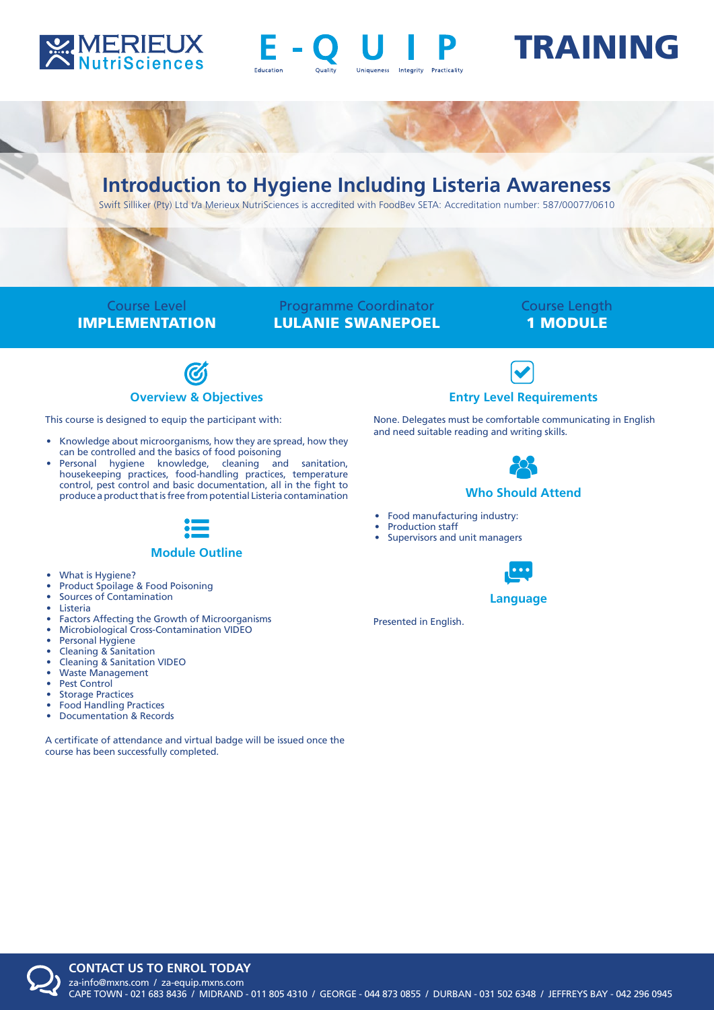



# TRAINING

# **Introduction to Hygiene Including Listeria Awareness**

Swift Silliker (Pty) Ltd t/a Merieux NutriSciences is accredited with FoodBev SETA: Accreditation number: 587/00077/0610

Course Level IMPLEMENTATION

Programme Coordinator LULANIE SWANEPOEL

# Course Length 1 MODULE



This course is designed to equip the participant with:

- Knowledge about microorganisms, how they are spread, how they can be controlled and the basics of food poisoning
- Personal hygiene knowledge, cleaning and sanitation, housekeeping practices, food-handling practices, temperature control, pest control and basic documentation, all in the fight to produce a product that is free from potential Listeria contamination



#### **Module Outline**

- What is Hygiene?
- Product Spoilage & Food Poisoning
- Sources of Contamination
- Listeria
- Factors Affecting the Growth of Microorganisms
- Microbiological Cross-Contamination VIDEO
- Personal Hygiene
- Cleaning & Sanitation
- Cleaning & Sanitation VIDEO
- Waste Management
- Pest Control
- **Storage Practices**
- Food Handling Practices
- Documentation & Records

A certificate of attendance and virtual badge will be issued once the course has been successfully completed.



None. Delegates must be comfortable communicating in English and need suitable reading and writing skills.



### **Who Should Attend**

- Food manufacturing industry:
- Production staff
- Supervisors and unit managers



#### **Language**

Presented in English.

**CONTACT US TO ENROL TODAY**